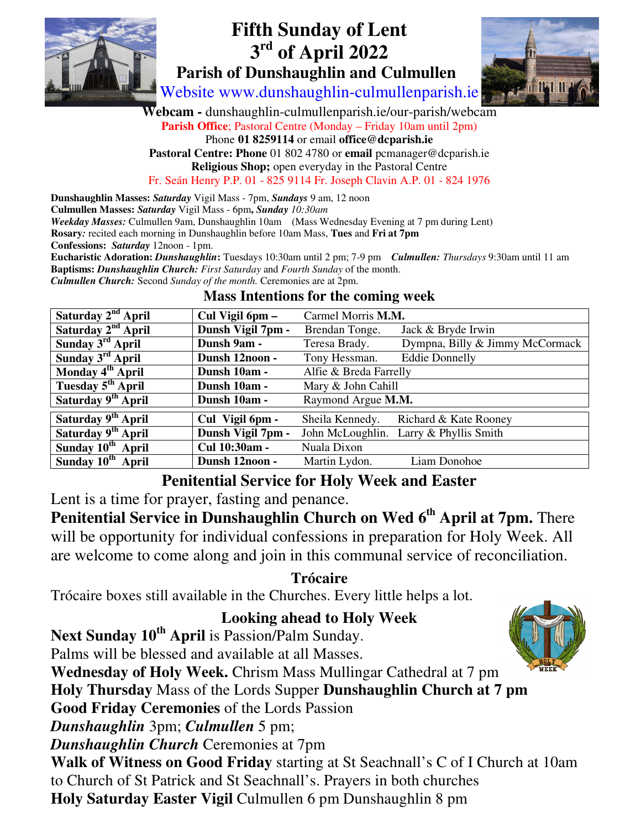

# **Fifth Sunday of Lent 3 rd of April 2022 Parish of Dunshaughlin and Culmullen**



Website www.dunshaughlin-culmullenparish.ie

**Webcam -** dunshaughlin-culmullenparish.ie/our-parish/webcam

**Parish Office**; Pastoral Centre (Monday – Friday 10am until 2pm)

Phone **01 8259114** or email **office@dcparish.ie Pastoral Centre: Phone** 01 802 4780 or **email** pcmanager@dcparish.ie

**Religious Shop;** open everyday in the Pastoral Centre

Fr. Seán Henry P.P. 01 - 825 9114 Fr. Joseph Clavin A.P. 01 - 824 1976

**Dunshaughlin Masses:** *Saturday* Vigil Mass - 7pm, *Sundays* 9 am, 12 noon **Culmullen Masses:** *Saturday* Vigil Mass - 6pm**,** *Sunday 10:30am Weekday Masses:* Culmullen 9am, Dunshaughlin 10am (Mass Wednesday Evening at 7 pm during Lent) **Rosary***:* recited each morning in Dunshaughlin before 10am Mass, **Tues** and **Fri at 7pm Confessions:** *Saturday* 12noon - 1pm. **Eucharistic Adoration:** *Dunshaughlin***:** Tuesdays 10:30am until 2 pm; 7-9 pm *Culmullen: Thursdays* 9:30am until 11 am **Baptisms:** *Dunshaughlin Church: First Saturday* and *Fourth Sunday* of the month. *Culmullen Church:* Second *Sunday of the month.* Ceremonies are at 2pm.

| Saturday 2 <sup>nd</sup> April | Cul Vigil 6pm -   | Carmel Morris M.M.     |                                 |
|--------------------------------|-------------------|------------------------|---------------------------------|
| Saturday 2 <sup>nd</sup> April | Dunsh Vigil 7pm - | Brendan Tonge.         | Jack & Bryde Irwin              |
| Sunday $3^{\text{rd}}$ April   | Dunsh 9am -       | Teresa Brady.          | Dympna, Billy & Jimmy McCormack |
| Sunday 3 <sup>rd</sup> April   | Dunsh 12noon -    | Tony Hessman.          | <b>Eddie Donnelly</b>           |
| Monday 4 <sup>th</sup> April   | Dunsh 10am -      | Alfie & Breda Farrelly |                                 |
| Tuesday 5 <sup>th</sup> April  | Dunsh 10am -      | Mary & John Cahill     |                                 |
| Saturday 9 <sup>th</sup> April | Dunsh 10am -      | Raymond Argue M.M.     |                                 |
|                                |                   |                        |                                 |
| Saturday 9 <sup>th</sup> April | Cul Vigil 6pm -   | Sheila Kennedy.        | Richard & Kate Rooney           |
| Saturday 9 <sup>th</sup> April | Dunsh Vigil 7pm - | John McLoughlin.       | Larry & Phyllis Smith           |
| Sunday 10 <sup>th</sup> April  | Cul 10:30am -     | Nuala Dixon            |                                 |
| Sunday 10 <sup>th</sup> April  | Dunsh 12noon -    | Martin Lydon.          | Liam Donohoe                    |

#### **Mass Intentions for the coming week**

## **Penitential Service for Holy Week and Easter**

Lent is a time for prayer, fasting and penance.

**Penitential Service in Dunshaughlin Church on Wed 6th April at 7pm.** There will be opportunity for individual confessions in preparation for Holy Week. All are welcome to come along and join in this communal service of reconciliation.

## **Trócaire**

Trócaire boxes still available in the Churches. Every little helps a lot.

## **Looking ahead to Holy Week**

**Next Sunday 10th April** is Passion/Palm Sunday. Palms will be blessed and available at all Masses. **Wednesday of Holy Week.** Chrism Mass Mullingar Cathedral at 7 pm **Holy Thursday** Mass of the Lords Supper **Dunshaughlin Church at 7 pm Good Friday Ceremonies** of the Lords Passion *Dunshaughlin* 3pm; *Culmullen* 5 pm; *Dunshaughlin Church* Ceremonies at 7pm **Walk of Witness on Good Friday** starting at St Seachnall's C of I Church at 10am to Church of St Patrick and St Seachnall's. Prayers in both churches **Holy Saturday Easter Vigil** Culmullen 6 pm Dunshaughlin 8 pm